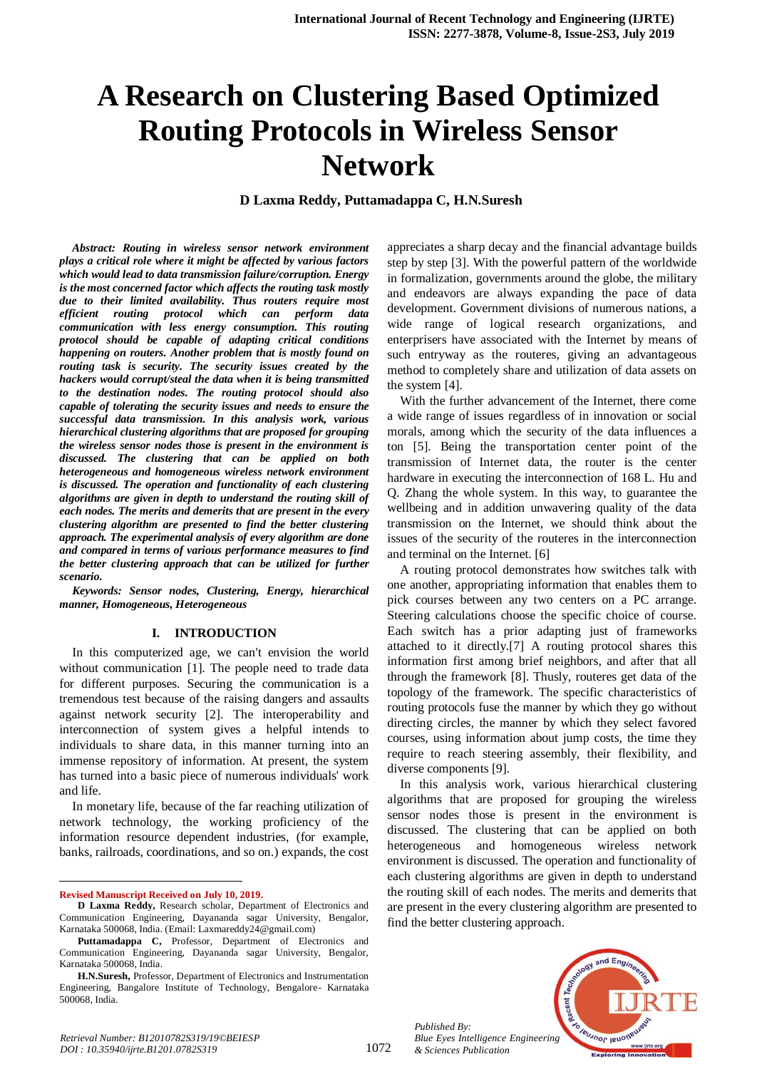# **A Research on Clustering Based Optimized Routing Protocols in Wireless Sensor Network**

**D Laxma Reddy, Puttamadappa C, H.N.Suresh**

*Abstract: Routing in wireless sensor network environment plays a critical role where it might be affected by various factors which would lead to data transmission failure/corruption. Energy is the most concerned factor which affects the routing task mostly due to their limited availability. Thus routers require most efficient routing protocol which can perform data communication with less energy consumption. This routing protocol should be capable of adapting critical conditions happening on routers. Another problem that is mostly found on routing task is security. The security issues created by the hackers would corrupt/steal the data when it is being transmitted to the destination nodes. The routing protocol should also capable of tolerating the security issues and needs to ensure the successful data transmission. In this analysis work, various hierarchical clustering algorithms that are proposed for grouping the wireless sensor nodes those is present in the environment is discussed. The clustering that can be applied on both heterogeneous and homogeneous wireless network environment is discussed. The operation and functionality of each clustering algorithms are given in depth to understand the routing skill of each nodes. The merits and demerits that are present in the every clustering algorithm are presented to find the better clustering approach. The experimental analysis of every algorithm are done and compared in terms of various performance measures to find the better clustering approach that can be utilized for further scenario.*

*Keywords: Sensor nodes, Clustering, Energy, hierarchical manner, Homogeneous, Heterogeneous*

#### **I. INTRODUCTION**

In this computerized age, we can't envision the world without communication [1]. The people need to trade data for different purposes. Securing the communication is a tremendous test because of the raising dangers and assaults against network security [2]. The interoperability and interconnection of system gives a helpful intends to individuals to share data, in this manner turning into an immense repository of information. At present, the system has turned into a basic piece of numerous individuals' work and life.

In monetary life, because of the far reaching utilization of network technology, the working proficiency of the information resource dependent industries, (for example, banks, railroads, coordinations, and so on.) expands, the cost

 $\ddot{\phantom{a}}$ 

appreciates a sharp decay and the financial advantage builds step by step [3]. With the powerful pattern of the worldwide in formalization, governments around the globe, the military and endeavors are always expanding the pace of data development. Government divisions of numerous nations, a wide range of logical research organizations, and enterprisers have associated with the Internet by means of such entryway as the routeres, giving an advantageous method to completely share and utilization of data assets on the system [4].

With the further advancement of the Internet, there come a wide range of issues regardless of in innovation or social morals, among which the security of the data influences a ton [5]. Being the transportation center point of the transmission of Internet data, the router is the center hardware in executing the interconnection of 168 L. Hu and Q. Zhang the whole system. In this way, to guarantee the wellbeing and in addition unwavering quality of the data transmission on the Internet, we should think about the issues of the security of the routeres in the interconnection and terminal on the Internet. [6]

A routing protocol demonstrates how switches talk with one another, appropriating information that enables them to pick courses between any two centers on a PC arrange. Steering calculations choose the specific choice of course. Each switch has a prior adapting just of frameworks attached to it directly.[7] A routing protocol shares this information first among brief neighbors, and after that all through the framework [8]. Thusly, routeres get data of the topology of the framework. The specific characteristics of routing protocols fuse the manner by which they go without directing circles, the manner by which they select favored courses, using information about jump costs, the time they require to reach steering assembly, their flexibility, and diverse components [9].

In this analysis work, various hierarchical clustering algorithms that are proposed for grouping the wireless sensor nodes those is present in the environment is discussed. The clustering that can be applied on both heterogeneous and homogeneous wireless network environment is discussed. The operation and functionality of each clustering algorithms are given in depth to understand the routing skill of each nodes. The merits and demerits that are present in the every clustering algorithm are presented to find the better clustering approach.

*Published By: Blue Eyes Intelligence Engineering & Sciences Publication* 



**Revised Manuscript Received on July 10, 2019.**

**D Laxma Reddy,** Research scholar, Department of Electronics and Communication Engineering, Dayananda sagar University, Bengalor, Karnataka 500068, India. (Email: Laxmareddy24@gmail.com)

Puttamadappa C, Professor, Department of Electronics and Communication Engineering, Dayananda sagar University, Bengalor, Karnataka 500068, India.

**H.N.Suresh,** Professor, Department of Electronics and Instrumentation Engineering, Bangalore Institute of Technology, Bengalore- Karnataka 500068, India.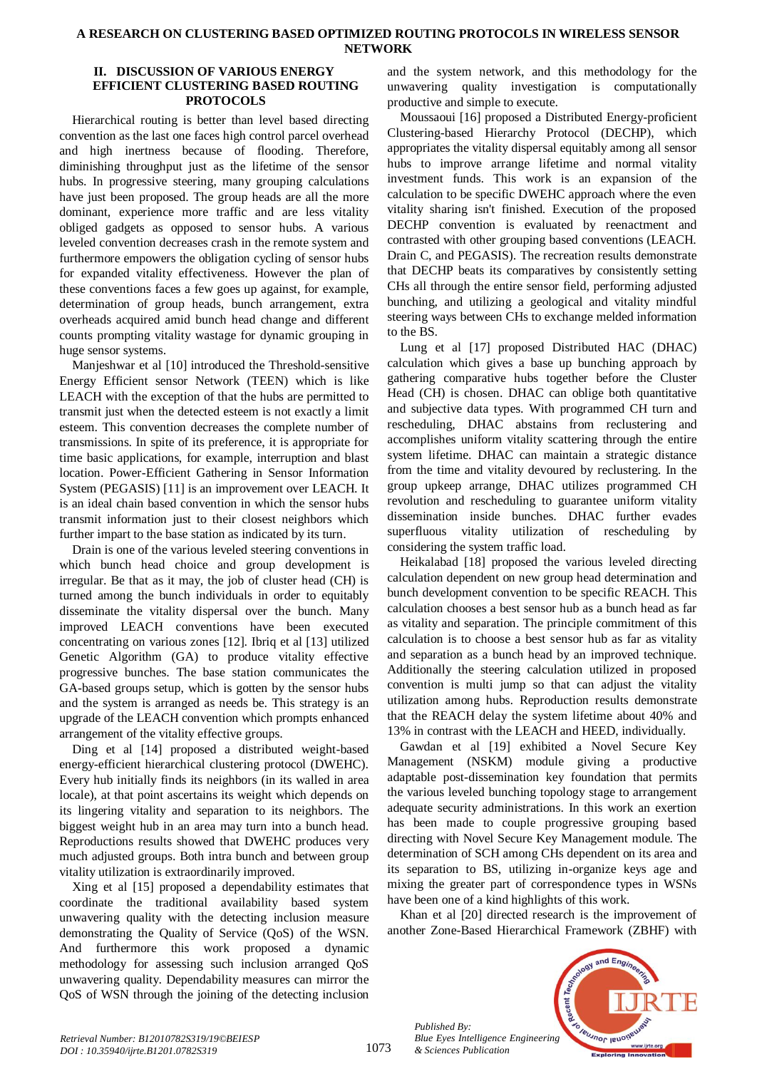#### **A RESEARCH ON CLUSTERING BASED OPTIMIZED ROUTING PROTOCOLS IN WIRELESS SENSOR NETWORK**

#### **II. DISCUSSION OF VARIOUS ENERGY EFFICIENT CLUSTERING BASED ROUTING PROTOCOLS**

Hierarchical routing is better than level based directing convention as the last one faces high control parcel overhead and high inertness because of flooding. Therefore, diminishing throughput just as the lifetime of the sensor hubs. In progressive steering, many grouping calculations have just been proposed. The group heads are all the more dominant, experience more traffic and are less vitality obliged gadgets as opposed to sensor hubs. A various leveled convention decreases crash in the remote system and furthermore empowers the obligation cycling of sensor hubs for expanded vitality effectiveness. However the plan of these conventions faces a few goes up against, for example, determination of group heads, bunch arrangement, extra overheads acquired amid bunch head change and different counts prompting vitality wastage for dynamic grouping in huge sensor systems.

Manjeshwar et al [10] introduced the Threshold-sensitive Energy Efficient sensor Network (TEEN) which is like LEACH with the exception of that the hubs are permitted to transmit just when the detected esteem is not exactly a limit esteem. This convention decreases the complete number of transmissions. In spite of its preference, it is appropriate for time basic applications, for example, interruption and blast location. Power-Efficient Gathering in Sensor Information System (PEGASIS) [11] is an improvement over LEACH. It is an ideal chain based convention in which the sensor hubs transmit information just to their closest neighbors which further impart to the base station as indicated by its turn.

Drain is one of the various leveled steering conventions in which bunch head choice and group development is irregular. Be that as it may, the job of cluster head (CH) is turned among the bunch individuals in order to equitably disseminate the vitality dispersal over the bunch. Many improved LEACH conventions have been executed concentrating on various zones [12]. Ibriq et al [13] utilized Genetic Algorithm (GA) to produce vitality effective progressive bunches. The base station communicates the GA-based groups setup, which is gotten by the sensor hubs and the system is arranged as needs be. This strategy is an upgrade of the LEACH convention which prompts enhanced arrangement of the vitality effective groups.

Ding et al [14] proposed a distributed weight-based energy-efficient hierarchical clustering protocol (DWEHC). Every hub initially finds its neighbors (in its walled in area locale), at that point ascertains its weight which depends on its lingering vitality and separation to its neighbors. The biggest weight hub in an area may turn into a bunch head. Reproductions results showed that DWEHC produces very much adjusted groups. Both intra bunch and between group vitality utilization is extraordinarily improved.

Xing et al [15] proposed a dependability estimates that coordinate the traditional availability based system unwavering quality with the detecting inclusion measure demonstrating the Quality of Service (QoS) of the WSN. And furthermore this work proposed a dynamic methodology for assessing such inclusion arranged QoS unwavering quality. Dependability measures can mirror the QoS of WSN through the joining of the detecting inclusion and the system network, and this methodology for the unwavering quality investigation is computationally productive and simple to execute.

Moussaoui [16] proposed a Distributed Energy-proficient Clustering-based Hierarchy Protocol (DECHP), which appropriates the vitality dispersal equitably among all sensor hubs to improve arrange lifetime and normal vitality investment funds. This work is an expansion of the calculation to be specific DWEHC approach where the even vitality sharing isn't finished. Execution of the proposed DECHP convention is evaluated by reenactment and contrasted with other grouping based conventions (LEACH. Drain C, and PEGASIS). The recreation results demonstrate that DECHP beats its comparatives by consistently setting CHs all through the entire sensor field, performing adjusted bunching, and utilizing a geological and vitality mindful steering ways between CHs to exchange melded information to the BS.

Lung et al [17] proposed Distributed HAC (DHAC) calculation which gives a base up bunching approach by gathering comparative hubs together before the Cluster Head (CH) is chosen. DHAC can oblige both quantitative and subjective data types. With programmed CH turn and rescheduling, DHAC abstains from reclustering and accomplishes uniform vitality scattering through the entire system lifetime. DHAC can maintain a strategic distance from the time and vitality devoured by reclustering. In the group upkeep arrange, DHAC utilizes programmed CH revolution and rescheduling to guarantee uniform vitality dissemination inside bunches. DHAC further evades superfluous vitality utilization of rescheduling by considering the system traffic load.

Heikalabad [18] proposed the various leveled directing calculation dependent on new group head determination and bunch development convention to be specific REACH. This calculation chooses a best sensor hub as a bunch head as far as vitality and separation. The principle commitment of this calculation is to choose a best sensor hub as far as vitality and separation as a bunch head by an improved technique. Additionally the steering calculation utilized in proposed convention is multi jump so that can adjust the vitality utilization among hubs. Reproduction results demonstrate that the REACH delay the system lifetime about 40% and 13% in contrast with the LEACH and HEED, individually.

Gawdan et al [19] exhibited a Novel Secure Key Management (NSKM) module giving a productive adaptable post-dissemination key foundation that permits the various leveled bunching topology stage to arrangement adequate security administrations. In this work an exertion has been made to couple progressive grouping based directing with Novel Secure Key Management module. The determination of SCH among CHs dependent on its area and its separation to BS, utilizing in-organize keys age and mixing the greater part of correspondence types in WSNs have been one of a kind highlights of this work.

Khan et al [20] directed research is the improvement of another Zone-Based Hierarchical Framework (ZBHF) with



*Published By:*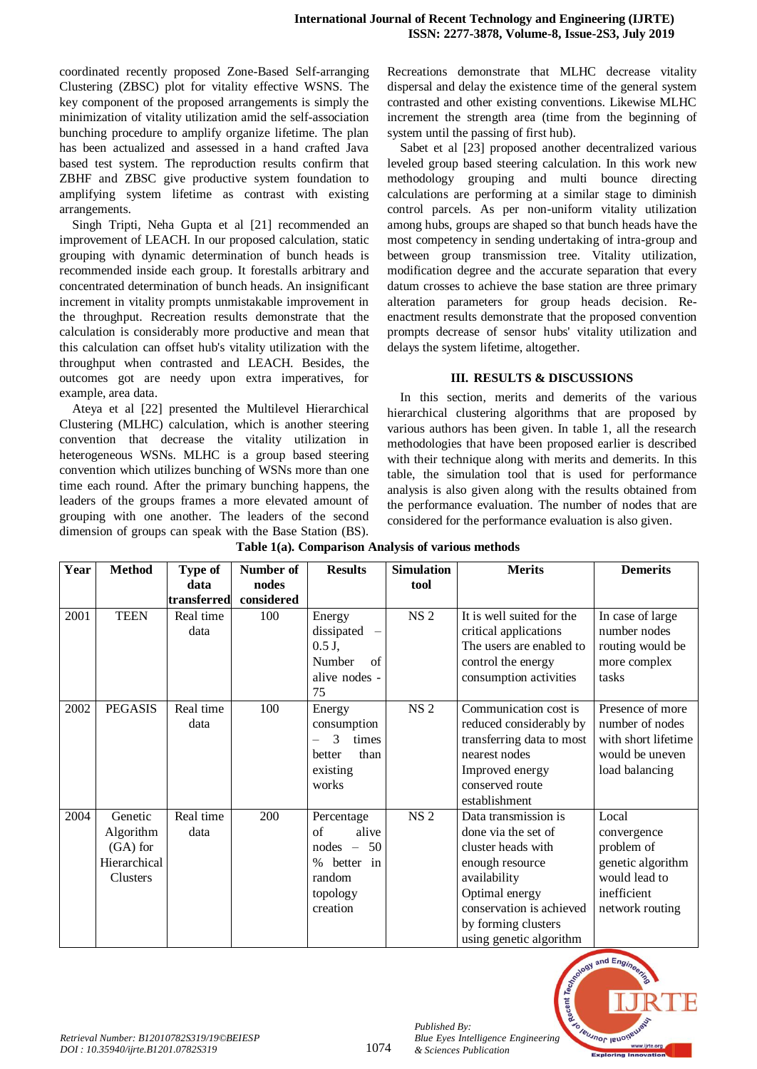coordinated recently proposed Zone-Based Self-arranging Clustering (ZBSC) plot for vitality effective WSNS. The key component of the proposed arrangements is simply the minimization of vitality utilization amid the self-association bunching procedure to amplify organize lifetime. The plan has been actualized and assessed in a hand crafted Java based test system. The reproduction results confirm that ZBHF and ZBSC give productive system foundation to amplifying system lifetime as contrast with existing arrangements.

Singh Tripti, Neha Gupta et al [21] recommended an improvement of LEACH. In our proposed calculation, static grouping with dynamic determination of bunch heads is recommended inside each group. It forestalls arbitrary and concentrated determination of bunch heads. An insignificant increment in vitality prompts unmistakable improvement in the throughput. Recreation results demonstrate that the calculation is considerably more productive and mean that this calculation can offset hub's vitality utilization with the throughput when contrasted and LEACH. Besides, the outcomes got are needy upon extra imperatives, for example, area data.

Ateya et al [22] presented the Multilevel Hierarchical Clustering (MLHC) calculation, which is another steering convention that decrease the vitality utilization in heterogeneous WSNs. MLHC is a group based steering convention which utilizes bunching of WSNs more than one time each round. After the primary bunching happens, the leaders of the groups frames a more elevated amount of grouping with one another. The leaders of the second dimension of groups can speak with the Base Station (BS). Recreations demonstrate that MLHC decrease vitality dispersal and delay the existence time of the general system contrasted and other existing conventions. Likewise MLHC increment the strength area (time from the beginning of system until the passing of first hub).

Sabet et al [23] proposed another decentralized various leveled group based steering calculation. In this work new methodology grouping and multi bounce directing calculations are performing at a similar stage to diminish control parcels. As per non-uniform vitality utilization among hubs, groups are shaped so that bunch heads have the most competency in sending undertaking of intra-group and between group transmission tree. Vitality utilization, modification degree and the accurate separation that every datum crosses to achieve the base station are three primary alteration parameters for group heads decision. Reenactment results demonstrate that the proposed convention prompts decrease of sensor hubs' vitality utilization and delays the system lifetime, altogether.

## **III. RESULTS & DISCUSSIONS**

In this section, merits and demerits of the various hierarchical clustering algorithms that are proposed by various authors has been given. In table 1, all the research methodologies that have been proposed earlier is described with their technique along with merits and demerits. In this table, the simulation tool that is used for performance analysis is also given along with the results obtained from the performance evaluation. The number of nodes that are considered for the performance evaluation is also given.

| Year | <b>Method</b>                                                  | Type of           | Number of  | <b>Results</b>                                                                                       | <b>Simulation</b> | <b>Merits</b>                                                                                                                                                                                        | <b>Demerits</b>                                                                                            |
|------|----------------------------------------------------------------|-------------------|------------|------------------------------------------------------------------------------------------------------|-------------------|------------------------------------------------------------------------------------------------------------------------------------------------------------------------------------------------------|------------------------------------------------------------------------------------------------------------|
|      |                                                                | data              | nodes      |                                                                                                      | tool              |                                                                                                                                                                                                      |                                                                                                            |
|      |                                                                | transferred       | considered |                                                                                                      |                   |                                                                                                                                                                                                      |                                                                                                            |
| 2001 | <b>TEEN</b>                                                    | Real time<br>data | 100        | Energy<br>dissipated<br>$\overline{\phantom{0}}$<br>$0.5 J$ ,<br>Number<br>of<br>alive nodes -<br>75 | <b>NS 2</b>       | It is well suited for the<br>critical applications<br>The users are enabled to<br>control the energy<br>consumption activities                                                                       | In case of large<br>number nodes<br>routing would be<br>more complex<br>tasks                              |
| 2002 | <b>PEGASIS</b>                                                 | Real time<br>data | 100        | Energy<br>consumption<br>$\mathcal{R}$<br>times<br>than<br>better<br>existing<br>works               | <b>NS 2</b>       | Communication cost is<br>reduced considerably by<br>transferring data to most<br>nearest nodes<br>Improved energy<br>conserved route<br>establishment                                                | Presence of more<br>number of nodes<br>with short lifetime<br>would be uneven<br>load balancing            |
| 2004 | Genetic<br>Algorithm<br>$(GA)$ for<br>Hierarchical<br>Clusters | Real time<br>data | 200        | Percentage<br>of<br>alive<br>$nodes - 50$<br>% better in<br>random<br>topology<br>creation           | <b>NS 2</b>       | Data transmission is<br>done via the set of<br>cluster heads with<br>enough resource<br>availability<br>Optimal energy<br>conservation is achieved<br>by forming clusters<br>using genetic algorithm | Local<br>convergence<br>problem of<br>genetic algorithm<br>would lead to<br>inefficient<br>network routing |

**Table 1(a). Comparison Analysis of various methods**



*Published By:*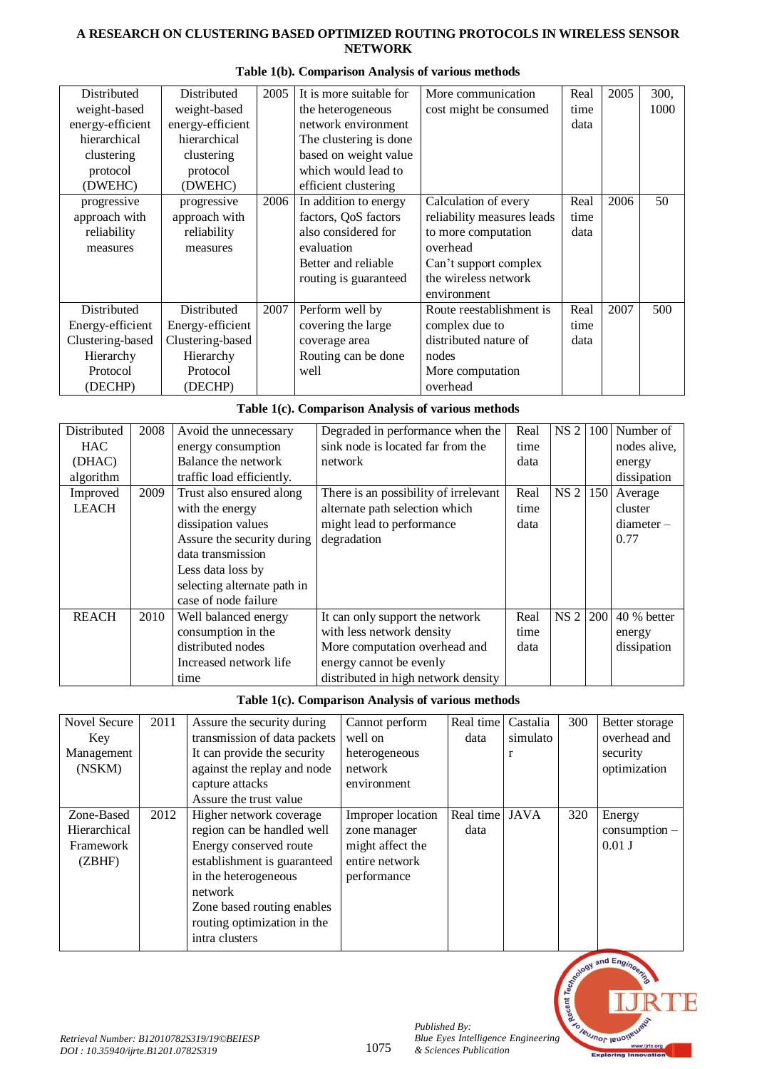## **A RESEARCH ON CLUSTERING BASED OPTIMIZED ROUTING PROTOCOLS IN WIRELESS SENSOR NETWORK**

| Distributed      | Distributed      | 2005 | It is more suitable for | More communication         | Real | 2005 | 300, |
|------------------|------------------|------|-------------------------|----------------------------|------|------|------|
| weight-based     | weight-based     |      | the heterogeneous       | cost might be consumed     | time |      | 1000 |
| energy-efficient | energy-efficient |      | network environment     |                            | data |      |      |
| hierarchical     | hierarchical     |      | The clustering is done. |                            |      |      |      |
| clustering       | clustering       |      | based on weight value   |                            |      |      |      |
| protocol         | protocol         |      | which would lead to     |                            |      |      |      |
| (DWEHC)          | (DWEHC)          |      | efficient clustering    |                            |      |      |      |
| progressive      | progressive      | 2006 | In addition to energy   | Calculation of every       | Real | 2006 | 50   |
| approach with    | approach with    |      | factors, QoS factors    | reliability measures leads | time |      |      |
| reliability      | reliability      |      | also considered for     | to more computation        | data |      |      |
| measures         | measures         |      | evaluation              | overhead                   |      |      |      |
|                  |                  |      | Better and reliable     | Can't support complex      |      |      |      |
|                  |                  |      | routing is guaranteed   | the wireless network       |      |      |      |
|                  |                  |      |                         | environment                |      |      |      |
| Distributed      | Distributed      | 2007 | Perform well by         | Route reestablishment is   | Real | 2007 | 500  |
| Energy-efficient | Energy-efficient |      | covering the large      | complex due to             | time |      |      |
| Clustering-based | Clustering-based |      | coverage area           | distributed nature of      | data |      |      |
| Hierarchy        | Hierarchy        |      | Routing can be done     | nodes                      |      |      |      |
| Protocol         | Protocol         |      | well                    | More computation           |      |      |      |
| (DECHP)          | (DECHP)          |      |                         | overhead                   |      |      |      |

## **Table 1(b). Comparison Analysis of various methods**

# **Table 1(c). Comparison Analysis of various methods**

| Distributed  | 2008 | Avoid the unnecessary       | Degraded in performance when the      | Real | NS <sub>2</sub> | 100 | Number of    |
|--------------|------|-----------------------------|---------------------------------------|------|-----------------|-----|--------------|
| <b>HAC</b>   |      | energy consumption          | sink node is located far from the     | time |                 |     | nodes alive, |
| (DHAC)       |      | Balance the network         | network                               | data |                 |     | energy       |
| algorithm    |      | traffic load efficiently.   |                                       |      |                 |     | dissipation  |
| Improved     | 2009 | Trust also ensured along    | There is an possibility of irrelevant | Real | NS 2 150        |     | Average      |
| <b>LEACH</b> |      | with the energy             | alternate path selection which        | time |                 |     | cluster      |
|              |      | dissipation values          | might lead to performance             | data |                 |     | $diameter -$ |
|              |      | Assure the security during  | degradation                           |      |                 |     | 0.77         |
|              |      | data transmission           |                                       |      |                 |     |              |
|              |      | Less data loss by           |                                       |      |                 |     |              |
|              |      | selecting alternate path in |                                       |      |                 |     |              |
|              |      | case of node failure        |                                       |      |                 |     |              |
| <b>REACH</b> | 2010 | Well balanced energy        | It can only support the network       | Real | NS <sub>2</sub> | 200 | 40 % better  |
|              |      | consumption in the          | with less network density             | time |                 |     | energy       |
|              |      | distributed nodes           | More computation overhead and         | data |                 |     | dissipation  |
|              |      | Increased network life      | energy cannot be evenly               |      |                 |     |              |
|              |      | time                        | distributed in high network density   |      |                 |     |              |

## **Table 1(c). Comparison Analysis of various methods**

| Novel Secure<br>Key<br>Management<br>(NSKM)       | 2011 | Assure the security during<br>transmission of data packets<br>It can provide the security<br>against the replay and node                                                                                                         | Cannot perform<br>well on<br>heterogeneous<br>network                                  | Real time<br>data      | Castalia<br>simulato | 300 | Better storage<br>overhead and<br>security<br>optimization |
|---------------------------------------------------|------|----------------------------------------------------------------------------------------------------------------------------------------------------------------------------------------------------------------------------------|----------------------------------------------------------------------------------------|------------------------|----------------------|-----|------------------------------------------------------------|
|                                                   |      | capture attacks<br>Assure the trust value                                                                                                                                                                                        | environment                                                                            |                        |                      |     |                                                            |
| Zone-Based<br>Hierarchical<br>Framework<br>(ZBHF) | 2012 | Higher network coverage<br>region can be handled well<br>Energy conserved route<br>establishment is guaranteed<br>in the heterogeneous<br>network<br>Zone based routing enables<br>routing optimization in the<br>intra clusters | Improper location<br>zone manager<br>might affect the<br>entire network<br>performance | Real time JAVA<br>data |                      | 320 | Energy<br>$consumption -$<br>$0.01$ J                      |



*Published By:*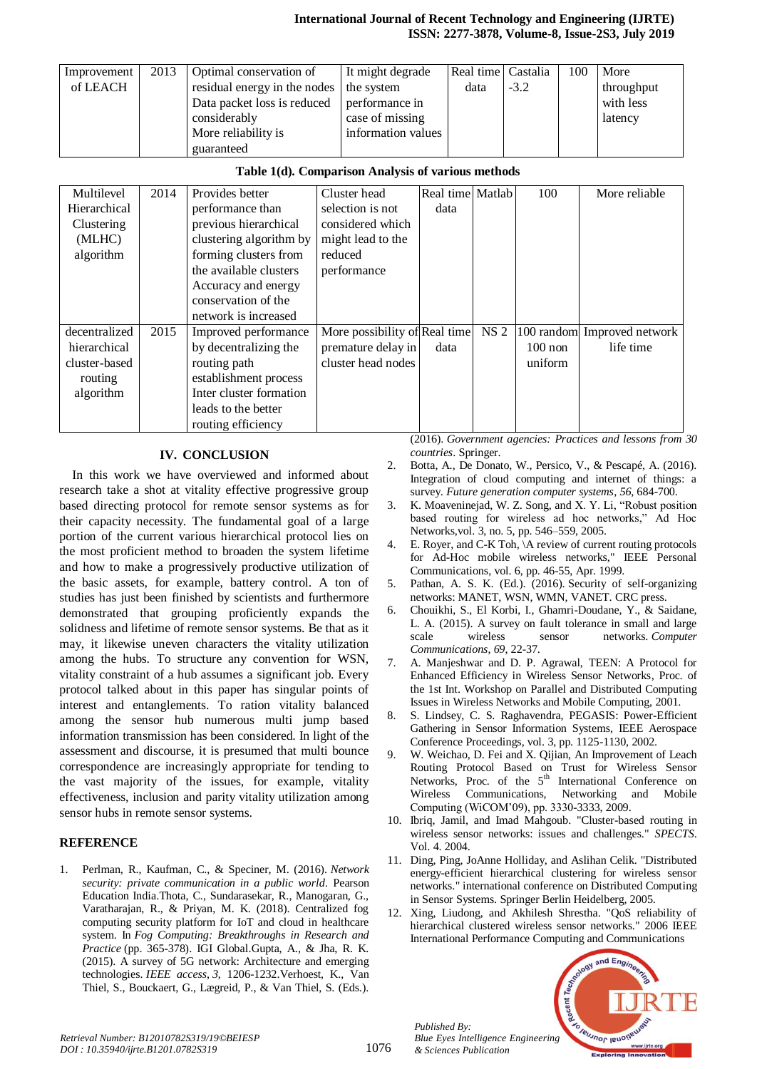#### **International Journal of Recent Technology and Engineering (IJRTE) ISSN: 2277-3878, Volume-8, Issue-2S3, July 2019**

| Improvement | 2013 | Optimal conservation of                 | It might degrade   | Real time Castalia |        | 100 | More       |
|-------------|------|-----------------------------------------|--------------------|--------------------|--------|-----|------------|
| of LEACH    |      | residual energy in the nodes the system |                    | data               | $-3.2$ |     | throughput |
|             |      | Data packet loss is reduced             | performance in     |                    |        |     | with less  |
|             |      | considerably                            | case of missing    |                    |        |     | latency    |
|             |      | More reliability is                     | information values |                    |        |     |            |
|             |      | guaranteed                              |                    |                    |        |     |            |

## **Table 1(d). Comparison Analysis of various methods**

| Multilevel    | 2014 | Provides better         | Cluster head                  | Real time Matlab |                 | 100       | More reliable               |
|---------------|------|-------------------------|-------------------------------|------------------|-----------------|-----------|-----------------------------|
| Hierarchical  |      | performance than        | selection is not              | data             |                 |           |                             |
| Clustering    |      | previous hierarchical   | considered which              |                  |                 |           |                             |
| (MLHC)        |      | clustering algorithm by | might lead to the             |                  |                 |           |                             |
| algorithm     |      | forming clusters from   | reduced                       |                  |                 |           |                             |
|               |      | the available clusters  | performance                   |                  |                 |           |                             |
|               |      | Accuracy and energy     |                               |                  |                 |           |                             |
|               |      | conservation of the     |                               |                  |                 |           |                             |
|               |      | network is increased    |                               |                  |                 |           |                             |
| decentralized | 2015 | Improved performance    | More possibility of Real time |                  | NS <sub>2</sub> |           | 100 random Improved network |
| hierarchical  |      | by decentralizing the   | premature delay in            | data             |                 | $100$ non | life time                   |
| cluster-based |      | routing path            | cluster head nodes            |                  |                 | uniform   |                             |
| routing       |      | establishment process   |                               |                  |                 |           |                             |
| algorithm     |      | Inter cluster formation |                               |                  |                 |           |                             |
|               |      | leads to the better     |                               |                  |                 |           |                             |
|               |      | routing efficiency      |                               |                  |                 |           |                             |

### **IV. CONCLUSION**

In this work we have overviewed and informed about research take a shot at vitality effective progressive group based directing protocol for remote sensor systems as for their capacity necessity. The fundamental goal of a large portion of the current various hierarchical protocol lies on the most proficient method to broaden the system lifetime and how to make a progressively productive utilization of the basic assets, for example, battery control. A ton of studies has just been finished by scientists and furthermore demonstrated that grouping proficiently expands the solidness and lifetime of remote sensor systems. Be that as it may, it likewise uneven characters the vitality utilization among the hubs. To structure any convention for WSN, vitality constraint of a hub assumes a significant job. Every protocol talked about in this paper has singular points of interest and entanglements. To ration vitality balanced among the sensor hub numerous multi jump based information transmission has been considered. In light of the assessment and discourse, it is presumed that multi bounce correspondence are increasingly appropriate for tending to the vast majority of the issues, for example, vitality effectiveness, inclusion and parity vitality utilization among sensor hubs in remote sensor systems.

## **REFERENCE**

1. Perlman, R., Kaufman, C., & Speciner, M. (2016). *Network security: private communication in a public world*. Pearson Education India.Thota, C., Sundarasekar, R., Manogaran, G., Varatharajan, R., & Priyan, M. K. (2018). Centralized fog computing security platform for IoT and cloud in healthcare system. In *Fog Computing: Breakthroughs in Research and Practice* (pp. 365-378). IGI Global.Gupta, A., & Jha, R. K. (2015). A survey of 5G network: Architecture and emerging technologies. *IEEE access*, *3*, 1206-1232.Verhoest, K., Van Thiel, S., Bouckaert, G., Lægreid, P., & Van Thiel, S. (Eds.). (2016). *Government agencies: Practices and lessons from 30 countries*. Springer.

- 2. Botta, A., De Donato, W., Persico, V., & Pescapé, A. (2016). Integration of cloud computing and internet of things: a survey. *Future generation computer systems*, *56*, 684-700.
- 3. K. Moaveninejad, W. Z. Song, and X. Y. Li, "Robust position based routing for wireless ad hoc networks," Ad Hoc Networks,vol. 3, no. 5, pp. 546–559, 2005.
- 4. E. Royer, and C-K Toh, \A review of current routing protocols for Ad-Hoc mobile wireless networks," IEEE Personal Communications, vol. 6, pp. 46-55, Apr. 1999.
- 5. Pathan, A. S. K. (Ed.). (2016). Security of self-organizing networks: MANET, WSN, WMN, VANET. CRC press.
- 6. Chouikhi, S., El Korbi, I., Ghamri-Doudane, Y., & Saidane, L. A. (2015). A survey on fault tolerance in small and large scale wireless sensor networks. *Computer Communications*, *69*, 22-37.
- 7. A. Manjeshwar and D. P. Agrawal, TEEN: A Protocol for Enhanced Efficiency in Wireless Sensor Networks, Proc. of the 1st Int. Workshop on Parallel and Distributed Computing Issues in Wireless Networks and Mobile Computing, 2001.
- 8. S. Lindsey, C. S. Raghavendra, PEGASIS: Power-Efficient Gathering in Sensor Information Systems, IEEE Aerospace Conference Proceedings, vol. 3, pp. 1125-1130, 2002.
- 9. W. Weichao, D. Fei and X. Qijian, An Improvement of Leach Routing Protocol Based on Trust for Wireless Sensor Networks, Proc. of the 5<sup>th</sup> International Conference on Wireless Communications, Networking and Mobile Computing (WiCOM'09), pp. 3330-3333, 2009.
- 10. Ibriq, Jamil, and Imad Mahgoub. "Cluster-based routing in wireless sensor networks: issues and challenges." *SPECTS*. Vol. 4. 2004.
- 11. Ding, Ping, JoAnne Holliday, and Aslihan Celik. "Distributed energy-efficient hierarchical clustering for wireless sensor networks." international conference on Distributed Computing in Sensor Systems. Springer Berlin Heidelberg, 2005.
- 12. Xing, Liudong, and Akhilesh Shrestha. "QoS reliability of hierarchical clustered wireless sensor networks." 2006 IEEE International Performance Computing and Communications



*Published By:*